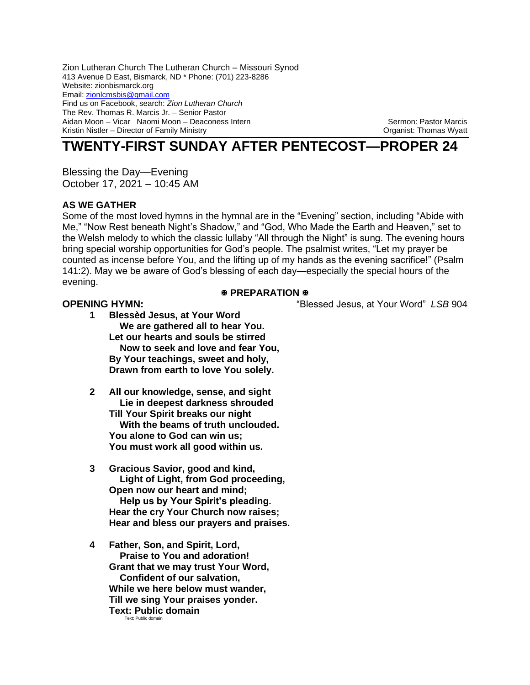Zion Lutheran Church The Lutheran Church – Missouri Synod 413 Avenue D East, Bismarck, ND \* Phone: (701) 223-8286 Website: zionbismarck.org Email[: zionlcmsbis@gmail.com](mailto:zionlcmsbis@gmail.com) Find us on Facebook, search: *Zion Lutheran Church* The Rev. Thomas R. Marcis Jr. – Senior Pastor Aidan Moon – Vicar Naomi Moon – Deaconess Intern Sermon: Pastor Marcis Sermon: Pastor Marcis Kristin Nistler – Director of Family Ministry **Contract Contract Contract Contract Contract Contract Contract Contract Contract Contract Contract Contract Contract Contract Contract Contract Contract Contract Contract Cont** 

# **TWENTY-FIRST SUNDAY AFTER PENTECOST—PROPER 24**

Blessing the Day—Evening October 17, 2021 – 10:45 AM

# **AS WE GATHER**

Some of the most loved hymns in the hymnal are in the "Evening" section, including "Abide with Me," "Now Rest beneath Night's Shadow," and "God, Who Made the Earth and Heaven," set to the Welsh melody to which the classic lullaby "All through the Night" is sung. The evening hours bring special worship opportunities for God's people. The psalmist writes, "Let my prayer be counted as incense before You, and the lifting up of my hands as the evening sacrifice!" (Psalm 141:2). May we be aware of God's blessing of each day—especially the special hours of the evening.

### **EXPREPARATION**

- **1 Blessèd Jesus, at Your Word We are gathered all to hear You. Let our hearts and souls be stirred Now to seek and love and fear You, By Your teachings, sweet and holy, Drawn from earth to love You solely.**
- **2 All our knowledge, sense, and sight Lie in deepest darkness shrouded Till Your Spirit breaks our night With the beams of truth unclouded. You alone to God can win us; You must work all good within us.**
- **3 Gracious Savior, good and kind, Light of Light, from God proceeding, Open now our heart and mind; Help us by Your Spirit's pleading. Hear the cry Your Church now raises; Hear and bless our prayers and praises.**
- **4 Father, Son, and Spirit, Lord, Praise to You and adoration! Grant that we may trust Your Word, Confident of our salvation, While we here below must wander, Till we sing Your praises yonder. Text: Public domain** Text: Public domain

**OPENING HYMN:** "Blessed Jesus, at Your Word" *LSB* 904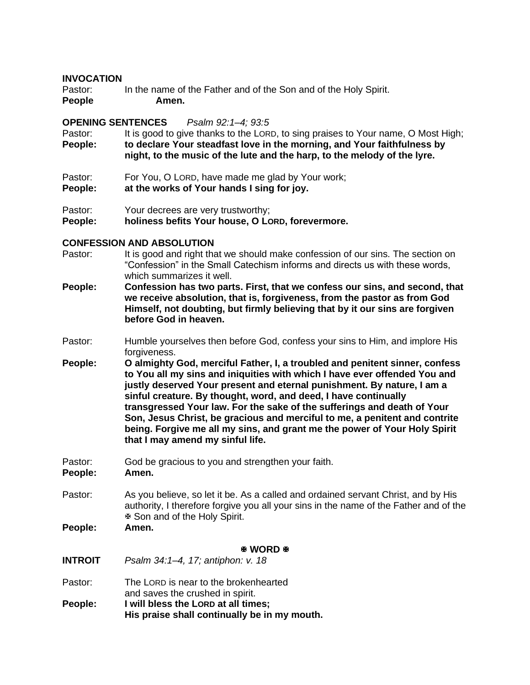### **INVOCATION**

Pastor: In the name of the Father and of the Son and of the Holy Spirit. **People Amen.**

### **OPENING SENTENCES** *Psalm 92:1–4; 93:5*

- Pastor: It is good to give thanks to the LORD, to sing praises to Your name, O Most High; **People: to declare Your steadfast love in the morning, and Your faithfulness by night, to the music of the lute and the harp, to the melody of the lyre.**
- Pastor: For You, O LORD, have made me glad by Your work;
- **People: at the works of Your hands I sing for joy.**
- Pastor: Your decrees are very trustworthy;

**People: holiness befits Your house, O LORD, forevermore.**

### **CONFESSION AND ABSOLUTION**

- Pastor: It is good and right that we should make confession of our sins. The section on "Confession" in the Small Catechism informs and directs us with these words, which summarizes it well.
- **People: Confession has two parts. First, that we confess our sins, and second, that we receive absolution, that is, forgiveness, from the pastor as from God Himself, not doubting, but firmly believing that by it our sins are forgiven before God in heaven.**
- Pastor: Humble yourselves then before God, confess your sins to Him, and implore His forgiveness.
- **People: O almighty God, merciful Father, I, a troubled and penitent sinner, confess to You all my sins and iniquities with which I have ever offended You and justly deserved Your present and eternal punishment. By nature, I am a sinful creature. By thought, word, and deed, I have continually transgressed Your law. For the sake of the sufferings and death of Your Son, Jesus Christ, be gracious and merciful to me, a penitent and contrite being. Forgive me all my sins, and grant me the power of Your Holy Spirit that I may amend my sinful life.**
- Pastor: God be gracious to you and strengthen your faith.
- **People: Amen.**
- Pastor: As you believe, so let it be. As a called and ordained servant Christ, and by His authority, I therefore forgive you all your sins in the name of the Father and of the Son and of the Holy Spirit.
- **People: Amen.**

### **WORD**

**INTROIT** *Psalm 34:1–4, 17; antiphon: v. 18* Pastor: The LORD is near to the brokenhearted and saves the crushed in spirit. **People: I will bless the LORD at all times; His praise shall continually be in my mouth.**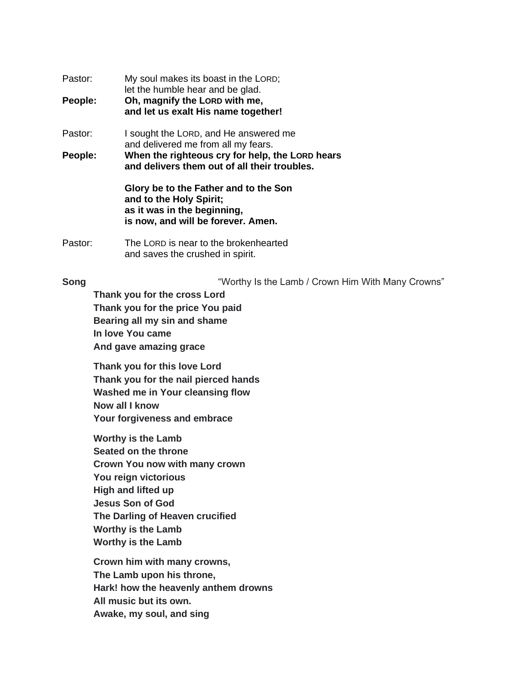Pastor: My soul makes its boast in the LORD; let the humble hear and be glad.

**People: Oh, magnify the LORD with me, and let us exalt His name together!**

Pastor: I sought the LORD, and He answered me and delivered me from all my fears. **People: When the righteous cry for help, the LORD hears**

**and delivers them out of all their troubles.**

**Glory be to the Father and to the Son and to the Holy Spirit; as it was in the beginning, is now, and will be forever. Amen.**

Pastor: The LORD is near to the brokenhearted and saves the crushed in spirit.

**Song** "Worthy Is the Lamb / Crown Him With Many Crowns"

**Thank you for the cross Lord Thank you for the price You paid Bearing all my sin and shame In love You came And gave amazing grace**

**Thank you for this love Lord Thank you for the nail pierced hands Washed me in Your cleansing flow Now all I know Your forgiveness and embrace**

**Worthy is the Lamb Seated on the throne Crown You now with many crown You reign victorious High and lifted up Jesus Son of God The Darling of Heaven crucified Worthy is the Lamb Worthy is the Lamb**

**Crown him with many crowns, The Lamb upon his throne, Hark! how the heavenly anthem drowns All music but its own. Awake, my soul, and sing**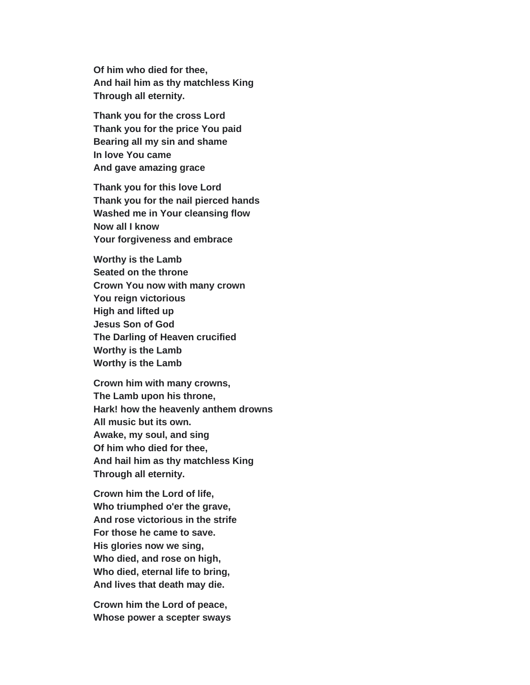**Of him who died for thee, And hail him as thy matchless King Through all eternity.**

**Thank you for the cross Lord Thank you for the price You paid Bearing all my sin and shame In love You came And gave amazing grace**

**Thank you for this love Lord Thank you for the nail pierced hands Washed me in Your cleansing flow Now all I know Your forgiveness and embrace**

**Worthy is the Lamb Seated on the throne Crown You now with many crown You reign victorious High and lifted up Jesus Son of God The Darling of Heaven crucified Worthy is the Lamb Worthy is the Lamb**

**Crown him with many crowns, The Lamb upon his throne, Hark! how the heavenly anthem drowns All music but its own. Awake, my soul, and sing Of him who died for thee, And hail him as thy matchless King Through all eternity.**

**Crown him the Lord of life, Who triumphed o'er the grave, And rose victorious in the strife For those he came to save. His glories now we sing, Who died, and rose on high, Who died, eternal life to bring, And lives that death may die.**

**Crown him the Lord of peace, Whose power a scepter sways**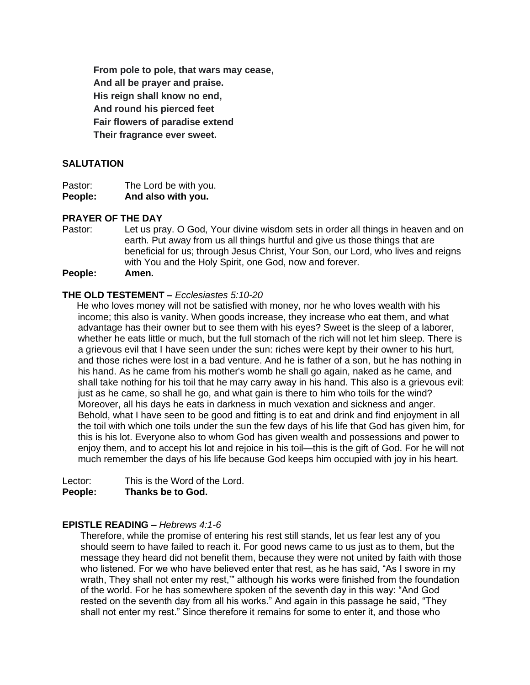**From pole to pole, that wars may cease, And all be prayer and praise. His reign shall know no end, And round his pierced feet Fair flowers of paradise extend Their fragrance ever sweet.**

# **SALUTATION**

Pastor: The Lord be with you. **People: And also with you.**

### **PRAYER OF THE DAY**

Pastor: Let us pray. O God, Your divine wisdom sets in order all things in heaven and on earth. Put away from us all things hurtful and give us those things that are beneficial for us; through Jesus Christ, Your Son, our Lord, who lives and reigns with You and the Holy Spirit, one God, now and forever.

**People: Amen.**

# **THE OLD TESTEMENT –** *Ecclesiastes 5:10-20*

He who loves money will not be satisfied with money, nor he who loves wealth with his income; this also is vanity. When goods increase, they increase who eat them, and what advantage has their owner but to see them with his eyes? Sweet is the sleep of a laborer, whether he eats little or much, but the full stomach of the rich will not let him sleep. There is a grievous evil that I have seen under the sun: riches were kept by their owner to his hurt, and those riches were lost in a bad venture. And he is father of a son, but he has nothing in his hand. As he came from his mother's womb he shall go again, naked as he came, and shall take nothing for his toil that he may carry away in his hand. This also is a grievous evil: just as he came, so shall he go, and what gain is there to him who toils for the wind? Moreover, all his days he eats in darkness in much vexation and sickness and anger. Behold, what I have seen to be good and fitting is to eat and drink and find enjoyment in all the toil with which one toils under the sun the few days of his life that God has given him, for this is his lot. Everyone also to whom God has given wealth and possessions and power to enjoy them, and to accept his lot and rejoice in his toil—this is the gift of God. For he will not much remember the days of his life because God keeps him occupied with joy in his heart.

Lector: This is the Word of the Lord. **People: Thanks be to God.**

## **EPISTLE READING –** *Hebrews 4:1-6*

Therefore, while the promise of entering his rest still stands, let us fear lest any of you should seem to have failed to reach it. For good news came to us just as to them, but the message they heard did not benefit them, because they were not united by faith with those who listened. For we who have believed enter that rest, as he has said, "As I swore in my wrath, They shall not enter my rest," although his works were finished from the foundation of the world. For he has somewhere spoken of the seventh day in this way: "And God rested on the seventh day from all his works." And again in this passage he said, "They shall not enter my rest." Since therefore it remains for some to enter it, and those who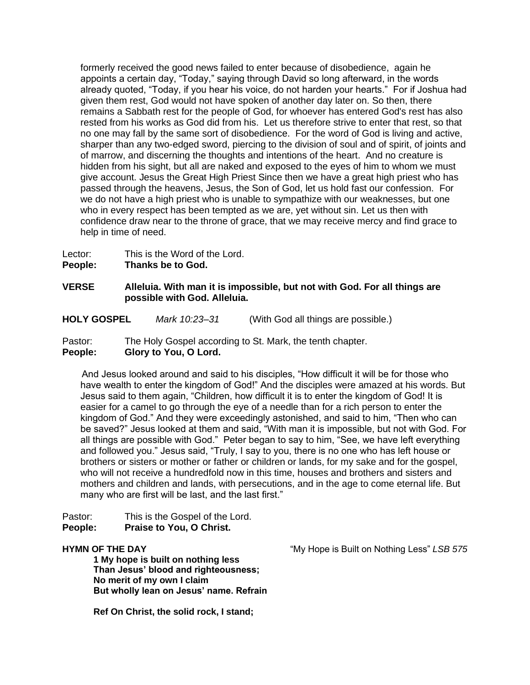formerly received the good news failed to enter because of disobedience, again he appoints a certain day, "Today," saying through David so long afterward, in the words already quoted, "Today, if you hear his voice, do not harden your hearts." For if Joshua had given them rest, God would not have spoken of another day later on. So then, there remains a Sabbath rest for the people of God, for whoever has entered God's rest has also rested from his works as God did from his. Let us therefore strive to enter that rest, so that no one may fall by the same sort of disobedience. For the word of God is living and active, sharper than any two-edged sword, piercing to the division of soul and of spirit, of joints and of marrow, and discerning the thoughts and intentions of the heart. And no creature is hidden from his sight, but all are naked and exposed to the eyes of him to whom we must give account. Jesus the Great High Priest Since then we have a great high priest who has passed through the heavens, Jesus, the Son of God, let us hold fast our confession. For we do not have a high priest who is unable to sympathize with our weaknesses, but one who in every respect has been tempted as we are, yet without sin. Let us then with confidence draw near to the throne of grace, that we may receive mercy and find grace to help in time of need.

- Lector: This is the Word of the Lord. **People: Thanks be to God.**
- **VERSE Alleluia. With man it is impossible, but not with God. For all things are possible with God. Alleluia.**

**HOLY GOSPEL** *Mark 10:23–31* (With God all things are possible.)

Pastor: The Holy Gospel according to St. Mark, the tenth chapter. **People: Glory to You, O Lord.**

And Jesus looked around and said to his disciples, "How difficult it will be for those who have wealth to enter the kingdom of God!" And the disciples were amazed at his words. But Jesus said to them again, "Children, how difficult it is to enter the kingdom of God! It is easier for a camel to go through the eye of a needle than for a rich person to enter the kingdom of God." And they were exceedingly astonished, and said to him, "Then who can be saved?" Jesus looked at them and said, "With man it is impossible, but not with God. For all things are possible with God." Peter began to say to him, "See, we have left everything and followed you." Jesus said, "Truly, I say to you, there is no one who has left house or brothers or sisters or mother or father or children or lands, for my sake and for the gospel, who will not receive a hundredfold now in this time, houses and brothers and sisters and mothers and children and lands, with persecutions, and in the age to come eternal life. But many who are first will be last, and the last first."

Pastor: This is the Gospel of the Lord. **People: Praise to You, O Christ.**

**1 My hope is built on nothing less Than Jesus' blood and righteousness; No merit of my own I claim But wholly lean on Jesus' name. Refrain**

**Ref On Christ, the solid rock, I stand;**

**HYMN OF THE DAY** THE **MY** THE **DAY** THE **MULLE OF A SET AND METALLY SET ASSESS** THE MY Hope is Built on Nothing Less" *LSB 575*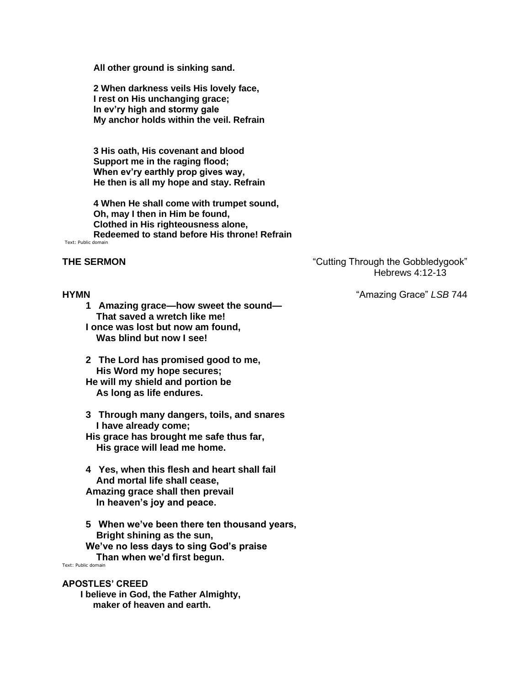**All other ground is sinking sand.**

**2 When darkness veils His lovely face, I rest on His unchanging grace; In ev'ry high and stormy gale My anchor holds within the veil. Refrain**

**3 His oath, His covenant and blood Support me in the raging flood; When ev'ry earthly prop gives way, He then is all my hope and stay. Refrain**

**4 When He shall come with trumpet sound, Oh, may I then in Him be found, Clothed in His righteousness alone, Redeemed to stand before His throne! Refrain**

Text: Public doma

**THE SERMON** "Cutting Through the Gobbledygook" Hebrews 4:12-13

- **1 Amazing grace—how sweet the sound— That saved a wretch like me! I once was lost but now am found,**
- **Was blind but now I see!**
- **2 The Lord has promised good to me, His Word my hope secures; He will my shield and portion be As long as life endures.**
- **3 Through many dangers, toils, and snares I have already come; His grace has brought me safe thus far, His grace will lead me home.**
- **4 Yes, when this flesh and heart shall fail And mortal life shall cease, Amazing grace shall then prevail In heaven's joy and peace.**
- **5 When we've been there ten thousand years, Bright shining as the sun, We've no less days to sing God's praise Than when we'd first begun.**

Text: Public domain

### **APOSTLES' CREED**

**I believe in God, the Father Almighty, maker of heaven and earth.**

**HYMN** "Amazing Grace" *LSB* 744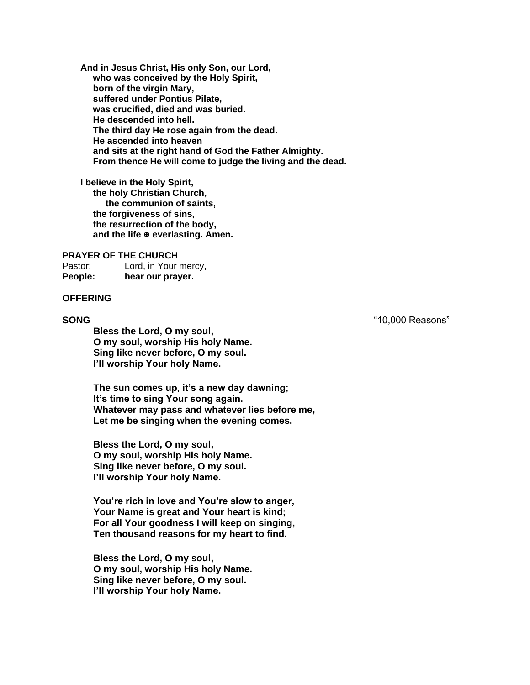**And in Jesus Christ, His only Son, our Lord, who was conceived by the Holy Spirit, born of the virgin Mary, suffered under Pontius Pilate, was crucified, died and was buried. He descended into hell. The third day He rose again from the dead. He ascended into heaven and sits at the right hand of God the Father Almighty. From thence He will come to judge the living and the dead.**

**I believe in the Holy Spirit, the holy Christian Church, the communion of saints, the forgiveness of sins, the resurrection of the body, and the life everlasting. Amen.**

### **PRAYER OF THE CHURCH**

| Pastor: | Lord, in Your mercy, |
|---------|----------------------|
| People: | hear our prayer.     |

# **OFFERING**

**Bless the Lord, O my soul, O my soul, worship His holy Name. Sing like never before, O my soul. I'll worship Your holy Name.**

**The sun comes up, it's a new day dawning; It's time to sing Your song again. Whatever may pass and whatever lies before me, Let me be singing when the evening comes.**

**Bless the Lord, O my soul, O my soul, worship His holy Name. Sing like never before, O my soul. I'll worship Your holy Name.**

**You're rich in love and You're slow to anger, Your Name is great and Your heart is kind; For all Your goodness I will keep on singing, Ten thousand reasons for my heart to find.**

**Bless the Lord, O my soul, O my soul, worship His holy Name. Sing like never before, O my soul. I'll worship Your holy Name.**

**SONG**  $\blacksquare$  "10,000 Reasons"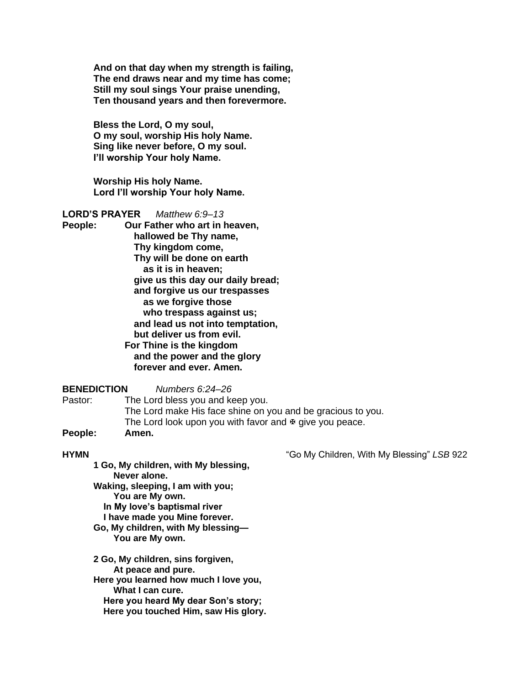**And on that day when my strength is failing, The end draws near and my time has come; Still my soul sings Your praise unending, Ten thousand years and then forevermore.**

**Bless the Lord, O my soul, O my soul, worship His holy Name. Sing like never before, O my soul. I'll worship Your holy Name.**

**Worship His holy Name. Lord I'll worship Your holy Name.**

|         | <b>LORD'S PRAYER</b> Matthew 6:9-13 |
|---------|-------------------------------------|
| People: | Our Father who art in heaven,       |
|         | hallowed be Thy name,               |
|         | Thy kingdom come,                   |
|         | Thy will be done on earth           |
|         | as it is in heaven;                 |
|         | give us this day our daily bread;   |
|         | and forgive us our trespasses       |
|         | as we forgive those                 |
|         | who trespass against us;            |
|         | and lead us not into temptation,    |
|         | but deliver us from evil.           |
|         | For Thine is the kingdom            |
|         | and the power and the glory         |
|         | forever and ever. Amen.             |
|         |                                     |

| <b>BENEDICTION</b> | <b>Numbers 6:24–26</b>                                       |
|--------------------|--------------------------------------------------------------|
| Pastor:            | The Lord bless you and keep you.                             |
|                    | The Lord make His face shine on you and be gracious to you.  |
|                    | The Lord look upon you with favor and $\Phi$ give you peace. |
| People:            | Amen.                                                        |

**HYMN** "Go My Children, With My Blessing" *LSB* 922

**1 Go, My children, with My blessing, Never alone. Waking, sleeping, I am with you; You are My own. In My love's baptismal river I have made you Mine forever. Go, My children, with My blessing— You are My own.**

**2 Go, My children, sins forgiven, At peace and pure. Here you learned how much I love you, What I can cure. Here you heard My dear Son's story; Here you touched Him, saw His glory.**